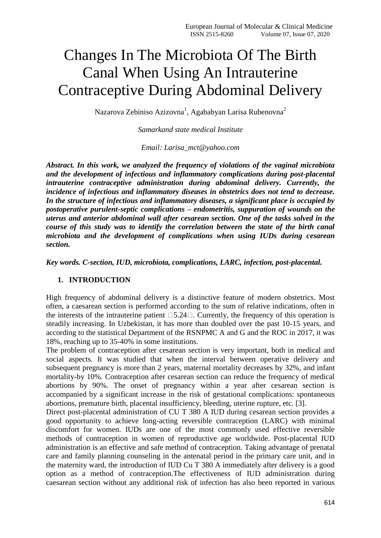# Changes In The Microbiota Of The Birth Canal When Using An Intrauterine Contraceptive During Abdominal Delivery

Nazarova Zebiniso Azizovna<sup>1</sup>, Agababyan Larisa Rubenovna<sup>2</sup>

*Samarkand state medical Institute*

*Email: Larisa\_mct@yahoo.com*

*Abstract. In this work, we analyzed the frequency of violations of the vaginal microbiota and the development of infectious and inflammatory complications during post-placental intrauterine contraceptive administration during abdominal delivery. Currently, the incidence of infectious and inflammatory diseases in obstetrics does not tend to decrease. In the structure of infectious and inflammatory diseases, a significant place is occupied by postoperative purulent-septic complications – endometritis, suppuration of wounds on the uterus and anterior abdominal wall after cesarean section. One of the tasks solved in the course of this study was to identify the correlation between the state of the birth canal microbiota and the development of complications when using IUDs during cesarean section.*

*Key words. C-section, IUD, microbiota, complications, LARC, infection, post-placental.*

# **1. INTRODUCTION**

High frequency of abdominal delivery is a distinctive feature of modern obstetrics. Most often, a caesarean section is performed according to the sum of relative indications, often in the interests of the intrauterine patient  $\Box 5.24 \Box$ . Currently, the frequency of this operation is steadily increasing. In Uzbekistan, it has more than doubled over the past 10-15 years, and according to the statistical Department of the RSNPMC A and G and the ROC in 2017, it was 18%, reaching up to 35-40% in some institutions.

The problem of contraception after cesarean section is very important, both in medical and social aspects. It was studied that when the interval between operative delivery and subsequent pregnancy is more than 2 years, maternal mortality decreases by 32%, and infant mortality-by 10%. Contraception after cesarean section can reduce the frequency of medical abortions by 90%. The onset of pregnancy within a year after cesarean section is accompanied by a significant increase in the risk of gestational complications: spontaneous abortions, premature birth, placental insufficiency, bleeding, uterine rupture, etc. [3].

Direct post-placental administration of CU T 380 A IUD during cesarean section provides a good opportunity to achieve long-acting reversible contraception (LARC) with minimal discomfort for women. IUDs are one of the most commonly used effective reversible methods of contraception in women of reproductive age worldwide. Post-placental IUD administration is an effective and safe method of contraception. Taking advantage of prenatal care and family planning counseling in the antenatal period in the primary care unit, and in the maternity ward, the introduction of IUD Cu T 380 A immediately after delivery is a good option as a method of contraception.The effectiveness of IUD administration during caesarean section without any additional risk of infection has also been reported in various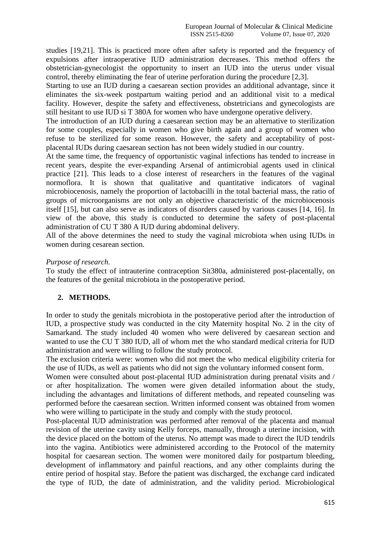studies [19,21]. This is practiced more often after safety is reported and the frequency of expulsions after intraoperative IUD administration decreases. This method offers the obstetrician-gynecologist the opportunity to insert an IUD into the uterus under visual control, thereby eliminating the fear of uterine perforation during the procedure [2,3].

Starting to use an IUD during a caesarean section provides an additional advantage, since it eliminates the six-week postpartum waiting period and an additional visit to a medical facility. However, despite the safety and effectiveness, obstetricians and gynecologists are still hesitant to use IUD si T 380A for women who have undergone operative delivery.

The introduction of an IUD during a caesarean section may be an alternative to sterilization for some couples, especially in women who give birth again and a group of women who refuse to be sterilized for some reason. However, the safety and acceptability of postplacental IUDs during caesarean section has not been widely studied in our country.

At the same time, the frequency of opportunistic vaginal infections has tended to increase in recent years, despite the ever-expanding Arsenal of antimicrobial agents used in clinical practice [21]. This leads to a close interest of researchers in the features of the vaginal normoflora. It is shown that qualitative and quantitative indicators of vaginal microbiocenosis, namely the proportion of lactobacilli in the total bacterial mass, the ratio of groups of microorganisms are not only an objective characteristic of the microbiocenosis itself [15], but can also serve as indicators of disorders caused by various causes [14, 16]. In view of the above, this study is conducted to determine the safety of post-placental administration of CU T 380 A IUD during abdominal delivery.

All of the above determines the need to study the vaginal microbiota when using IUDs in women during cesarean section.

#### *Purpose of research.*

To study the effect of intrauterine contraception Sit380a, administered post-placentally, on the features of the genital microbiota in the postoperative period.

# **2. METHODS.**

In order to study the genitals microbiota in the postoperative period after the introduction of IUD, a prospective study was conducted in the city Maternity hospital No. 2 in the city of Samarkand. The study included 40 women who were delivered by caesarean section and wanted to use the CU T 380 IUD, all of whom met the who standard medical criteria for IUD administration and were willing to follow the study protocol.

The exclusion criteria were: women who did not meet the who medical eligibility criteria for the use of IUDs, as well as patients who did not sign the voluntary informed consent form.

Women were consulted about post-placental IUD administration during prenatal visits and / or after hospitalization. The women were given detailed information about the study, including the advantages and limitations of different methods, and repeated counseling was performed before the caesarean section. Written informed consent was obtained from women who were willing to participate in the study and comply with the study protocol.

Post-placental IUD administration was performed after removal of the placenta and manual revision of the uterine cavity using Kelly forceps, manually, through a uterine incision, with the device placed on the bottom of the uterus. No attempt was made to direct the IUD tendrils into the vagina. Antibiotics were administered according to the Protocol of the maternity hospital for caesarean section. The women were monitored daily for postpartum bleeding, development of inflammatory and painful reactions, and any other complaints during the entire period of hospital stay. Before the patient was discharged, the exchange card indicated the type of IUD, the date of administration, and the validity period. Microbiological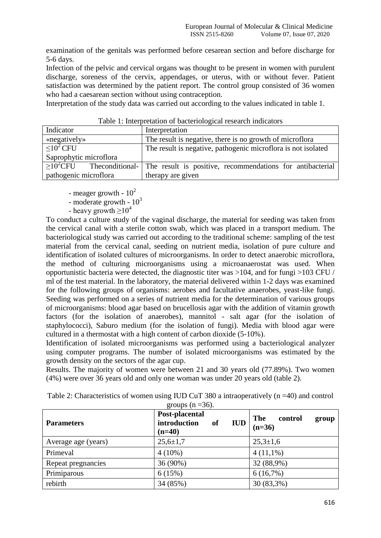examination of the genitals was performed before cesarean section and before discharge for 5-6 days.

Infection of the pelvic and cervical organs was thought to be present in women with purulent discharge, soreness of the cervix, appendages, or uterus, with or without fever. Patient satisfaction was determined by the patient report. The control group consisted of 36 women who had a caesarean section without using contraception.

Interpretation of the study data was carried out according to the values indicated in table 1.

| Indicator              | Interpretation                                                                              |  |  |
|------------------------|---------------------------------------------------------------------------------------------|--|--|
| «negatively»           | The result is negative, there is no growth of microflora                                    |  |  |
| $\leq 10^2$ CFU        | The result is negative, pathogenic microflora is not isolated                               |  |  |
| Saprophytic microflora |                                                                                             |  |  |
|                        | $\geq 10^{2}$ CFU Theconditional- The result is positive, recommendations for antibacterial |  |  |
| pathogenic microflora  | therapy are given                                                                           |  |  |

Table 1: Interpretation of bacteriological research indicators

- meager growth -  $10^2$ 

- moderate growth -  $10^3$ 

- heavy growth  $>10^4$ 

To conduct a culture study of the vaginal discharge, the material for seeding was taken from the cervical canal with a sterile cotton swab, which was placed in a transport medium. The bacteriological study was carried out according to the traditional scheme: sampling of the test material from the cervical canal, seeding on nutrient media, isolation of pure culture and identification of isolated cultures of microorganisms. In order to detect anaerobic microflora, the method of culturing microorganisms using a microanaerostat was used. When opportunistic bacteria were detected, the diagnostic titer was  $>104$ , and for fungi  $>103$  CFU / ml of the test material. In the laboratory, the material delivered within 1-2 days was examined for the following groups of organisms: aerobes and facultative anaerobes, yeast-like fungi. Seeding was performed on a series of nutrient media for the determination of various groups of microorganisms: blood agar based on brucellosis agar with the addition of vitamin growth factors (for the isolation of anaerobes), mannitol - salt agar (for the isolation of staphylococci), Saburo medium (for the isolation of fungi). Media with blood agar were cultured in a thermostat with a high content of carbon dioxide (5-10%).

Identification of isolated microorganisms was performed using a bacteriological analyzer using computer programs. The number of isolated microorganisms was estimated by the growth density on the sectors of the agar cup.

Results. The majority of women were between 21 and 30 years old (77.89%). Two women (4%) were over 36 years old and only one woman was under 20 years old (table 2).

| groups $(n=36)$ .   |                                                                |                                     |  |  |  |  |
|---------------------|----------------------------------------------------------------|-------------------------------------|--|--|--|--|
| <b>Parameters</b>   | Post-placental<br>introduction<br><b>IUD</b><br>of<br>$(n=40)$ | The<br>control<br>group<br>$(n=36)$ |  |  |  |  |
| Average age (years) | $25,6 \pm 1,7$                                                 | $25,3 \pm 1,6$                      |  |  |  |  |
| Primeval            | $4(10\%)$                                                      | $4(11,1\%)$                         |  |  |  |  |
| Repeat pregnancies  | 36 (90%)                                                       | 32 (88,9%)                          |  |  |  |  |
| Primiparous         | 6(15%)                                                         | 6(16,7%)                            |  |  |  |  |
| rebirth             | 34 (85%)                                                       | 30 (83,3%)                          |  |  |  |  |

Table 2: Characteristics of women using IUD CuT 380 a intraoperatively (n =40) and control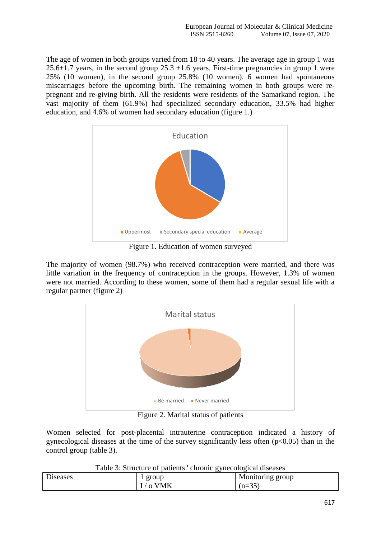The age of women in both groups varied from 18 to 40 years. The average age in group 1 was 25.6 $\pm$ 1.7 years, in the second group 25.3  $\pm$ 1.6 years. First-time pregnancies in group 1 were 25% (10 women), in the second group 25.8% (10 women). 6 women had spontaneous miscarriages before the upcoming birth. The remaining women in both groups were repregnant and re-giving birth. All the residents were residents of the Samarkand region. The vast majority of them (61.9%) had specialized secondary education, 33.5% had higher education, and 4.6% of women had secondary education (figure 1.)



Figure 1. Education of women surveyed

The majority of women (98.7%) who received contraception were married, and there was little variation in the frequency of contraception in the groups. However, 1.3% of women were not married. According to these women, some of them had a regular sexual life with a regular partner (figure 2)



Figure 2. Marital status of patients

Women selected for post-placental intrauterine contraception indicated a history of gynecological diseases at the time of the survey significantly less often  $(p<0.05)$  than in the control group (table 3).

|                             | .<br>J. | __               |
|-----------------------------|---------|------------------|
| $\mathbf{\bar{r}}$<br>eases | group   | Monitoring group |
|                             | ╰       | $(n=35)$         |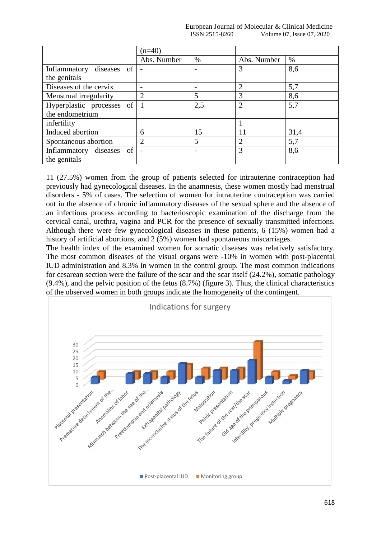European Journal of Molecular & Clinical Medicine ISSN 2515-8260 Volume 07, Issue 07, 2020

|                           | $(n=40)$       |     |                |      |
|---------------------------|----------------|-----|----------------|------|
|                           | Abs. Number    | %   | Abs. Number    | $\%$ |
| Inflammatory diseases of  |                |     | 3              | 8,6  |
| the genitals              |                |     |                |      |
| Diseases of the cervix    |                |     | 2              | 5,7  |
| Menstrual irregularity    | 2              | 5   | 3              | 8,6  |
| Hyperplastic processes of |                | 2,5 | $\overline{2}$ | 5,7  |
| the endometrium           |                |     |                |      |
| infertility               |                |     |                |      |
| Induced abortion          | 6              | 15  | 11             | 31,4 |
| Spontaneous abortion      | $\overline{2}$ | 5   | $\overline{2}$ | 5,7  |
| Inflammatory diseases of  |                |     | 3              | 8,6  |
| the genitals              |                |     |                |      |

11 (27.5%) women from the group of patients selected for intrauterine contraception had previously had gynecological diseases. In the anamnesis, these women mostly had menstrual disorders - 5% of cases. The selection of women for intrauterine contraception was carried out in the absence of chronic inflammatory diseases of the sexual sphere and the absence of an infectious process according to bacterioscopic examination of the discharge from the cervical canal, urethra, vagina and PCR for the presence of sexually transmitted infections. Although there were few gynecological diseases in these patients, 6 (15%) women had a history of artificial abortions, and 2 (5%) women had spontaneous miscarriages.

The health index of the examined women for somatic diseases was relatively satisfactory. The most common diseases of the visual organs were -10% in women with post-placental IUD administration and 8.3% in women in the control group. The most common indications for cesarean section were the failure of the scar and the scar itself (24.2%), somatic pathology (9.4%), and the pelvic position of the fetus (8.7%) (figure 3). Thus, the clinical characteristics of the observed women in both groups indicate the homogeneity of the contingent.

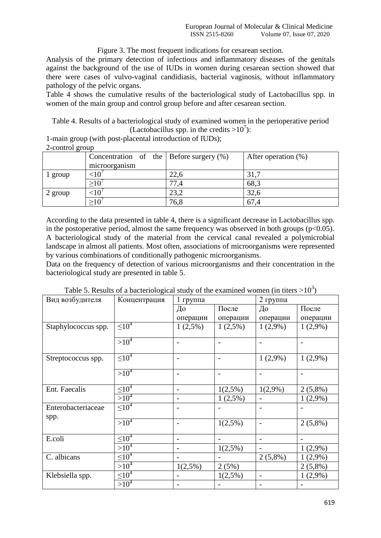### Figure 3. The most frequent indications for cesarean section.

Analysis of the primary detection of infectious and inflammatory diseases of the genitals against the background of the use of IUDs in women during cesarean section showed that there were cases of vulvo-vaginal candidiasis, bacterial vaginosis, without inflammatory pathology of the pelvic organs.

Table 4 shows the cumulative results of the bacteriological study of Lactobacillus spp. in women of the main group and control group before and after cesarean section.

Table 4. Results of a bacteriological study of examined women in the perioperative period (Lactobacillus spp. in the credits  $>10^7$ ):

1-main group (with post-placental introduction of IUDs);

2-control group

|                  | Concentration of the Before surgery $(\%)$<br>microorganism |      | After operation (%) |
|------------------|-------------------------------------------------------------|------|---------------------|
| 1 group          |                                                             | 22,6 | 31,7                |
|                  | >10'                                                        | 77,4 | 68,3                |
| $\sqrt{2}$ group |                                                             | 23,2 | 32,6                |
|                  |                                                             | 76,8 | 67,4                |

According to the data presented in table 4, there is a significant decrease in Lactobacillus spp. in the postoperative period, almost the same frequency was observed in both groups ( $p<0.05$ ). A bacteriological study of the material from the cervical canal revealed a polymicrobial landscape in almost all patients. Most often, associations of microorganisms were represented by various combinations of conditionally pathogenic microorganisms.

Data on the frequency of detection of various microorganisms and their concentration in the bacteriological study are presented in table 5.

| Вид возбудителя     | Концентрация  | $1$ группа                   |                          | 2 группа                 |            |
|---------------------|---------------|------------------------------|--------------------------|--------------------------|------------|
|                     |               | До                           | После                    | До                       | После      |
|                     |               | операции                     | операции                 | операции                 | операции   |
| Staphylococcus spp. | $10^{4}$      | 1(2,5%)                      | $1(2,5\%)$               | $1(2,9\%)$               | $1(2,9\%)$ |
|                     | $>10^4$       |                              |                          |                          |            |
|                     |               |                              |                          |                          |            |
| Streptococcus spp.  | $\leq 10^4$   | $\qquad \qquad \blacksquare$ | $\overline{\phantom{0}}$ | $1(2,9\%)$               | $1(2,9\%)$ |
|                     | $>10^4$       | $\qquad \qquad \blacksquare$ | $\qquad \qquad$          |                          |            |
| Ent. Faecalis       | $\leq 10^{4}$ | $\overline{\phantom{a}}$     | $1(2,5\%)$               | $1(2,9\%)$               | $2(5,8\%)$ |
|                     | $>10^4$       |                              | $1(2,5\%)$               |                          | $1(2,9\%)$ |
| Enterobacteriaceae  | $\leq 10^4$   |                              |                          |                          |            |
| spp.                |               |                              |                          |                          |            |
|                     | $>10^4$       | $\qquad \qquad \blacksquare$ | $1(2,5\%)$               |                          | $2(5,8\%)$ |
| E.coli              | $\leq 10^{4}$ | $\qquad \qquad -$            |                          | $\overline{\phantom{0}}$ |            |
|                     | $>10^4$       |                              | $1(2,5\%)$               |                          | $1(2,9\%)$ |
| C. albicans         | $\leq 10^4$   | $\qquad \qquad \blacksquare$ |                          | $2(5,8\%)$               | $1(2,9\%)$ |
|                     | $>10^4$       | 1(2,5%)                      | 2(5%)                    |                          | $2(5,8\%)$ |
| Klebsiella spp.     | $\leq 10^4$   |                              | 1(2,5%)                  | $\overline{\phantom{a}}$ | $1(2,9\%)$ |
|                     | $>10^4$       |                              |                          |                          |            |

Table 5. Results of a bacteriological study of the examined women (in titers  $>10^3$ )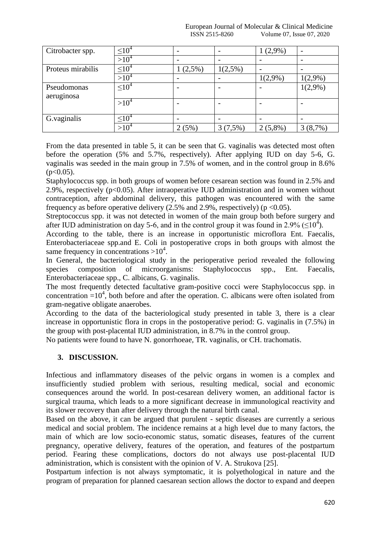| Citrobacter spp.  | $\leq 10^4$         |            |            | $1(2,9\%)$ |            |
|-------------------|---------------------|------------|------------|------------|------------|
|                   | $>10^4$             |            |            |            |            |
| Proteus mirabilis | $\leq 10^4$         | $1(2,5\%)$ | $1(2,5\%)$ |            |            |
|                   | $>10^4$             |            |            | $1(2,9\%)$ | $1(2,9\%)$ |
| Pseudomonas       | $\leq 10^4$         |            |            |            | $1(2,9\%)$ |
| aeruginosa        |                     |            |            |            |            |
|                   | $>10^4$             |            |            |            |            |
|                   |                     |            |            |            |            |
| G.vaginalis       | $\leq$ 10 $\degree$ |            |            |            |            |
|                   | $>10^4$             | 2(5%)      | 3(7,5%)    | $2(5,8\%)$ | $(8,7\%)$  |

From the data presented in table 5, it can be seen that G. vaginalis was detected most often before the operation (5% and 5.7%, respectively). After applying IUD on day 5-6, G. vaginalis was seeded in the main group in 7.5% of women, and in the control group in 8.6%  $(p<0.05)$ .

Staphylococcus spp. in both groups of women before cesarean section was found in 2.5% and 2.9%, respectively ( $p<0.05$ ). After intraoperative IUD administration and in women without contraception, after abdominal delivery, this pathogen was encountered with the same frequency as before operative delivery  $(2.5\%$  and  $2.9\%$ , respectively) (p < 0.05).

Streptococcus spp. it was not detected in women of the main group both before surgery and after IUD administration on day 5-6, and in the control group it was found in 2.9% ( $\leq 10^4$ ).

According to the table, there is an increase in opportunistic microflora Ent. Faecalis, Enterobacteriaceae spp.and E. Coli in postoperative crops in both groups with almost the same frequency in concentrations  $>10^4$ .

In General, the bacteriological study in the perioperative period revealed the following species composition of microorganisms: Staphylococcus spp., Ent. Faecalis, Enterobacteriaceae spp., C. albicans, G. vaginalis.

The most frequently detected facultative gram-positive cocci were Staphylococcus spp. in concentration  $=10^4$ , both before and after the operation. C. albicans were often isolated from gram-negative obligate anaerobes.

According to the data of the bacteriological study presented in table 3, there is a clear increase in opportunistic flora in crops in the postoperative period: G. vaginalis in (7.5%) in the group with post-placental IUD administration, in 8.7% in the control group.

No patients were found to have N. gonorrhoeae, TR. vaginalis, or CH. trachomatis.

#### **3. DISCUSSION.**

Infectious and inflammatory diseases of the pelvic organs in women is a complex and insufficiently studied problem with serious, resulting medical, social and economic consequences around the world. In post-cesarean delivery women, an additional factor is surgical trauma, which leads to a more significant decrease in immunological reactivity and its slower recovery than after delivery through the natural birth canal.

Based on the above, it can be argued that purulent - septic diseases are currently a serious medical and social problem. The incidence remains at a high level due to many factors, the main of which are low socio-economic status, somatic diseases, features of the current pregnancy, operative delivery, features of the operation, and features of the postpartum period. Fearing these complications, doctors do not always use post-placental IUD administration, which is consistent with the opinion of V. A. Strukova [25].

Postpartum infection is not always symptomatic, it is polyethological in nature and the program of preparation for planned caesarean section allows the doctor to expand and deepen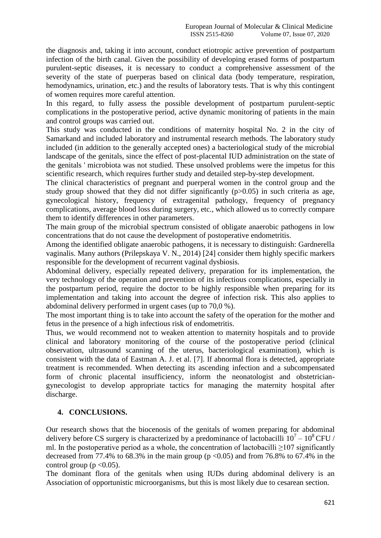the diagnosis and, taking it into account, conduct etiotropic active prevention of postpartum infection of the birth canal. Given the possibility of developing erased forms of postpartum purulent-septic diseases, it is necessary to conduct a comprehensive assessment of the severity of the state of puerperas based on clinical data (body temperature, respiration, hemodynamics, urination, etc.) and the results of laboratory tests. That is why this contingent of women requires more careful attention.

In this regard, to fully assess the possible development of postpartum purulent-septic complications in the postoperative period, active dynamic monitoring of patients in the main and control groups was carried out.

This study was conducted in the conditions of maternity hospital No. 2 in the city of Samarkand and included laboratory and instrumental research methods. The laboratory study included (in addition to the generally accepted ones) a bacteriological study of the microbial landscape of the genitals, since the effect of post-placental IUD administration on the state of the genitals ' microbiota was not studied. These unsolved problems were the impetus for this scientific research, which requires further study and detailed step-by-step development.

The clinical characteristics of pregnant and puerperal women in the control group and the study group showed that they did not differ significantly  $(p>0.05)$  in such criteria as age, gynecological history, frequency of extragenital pathology, frequency of pregnancy complications, average blood loss during surgery, etc., which allowed us to correctly compare them to identify differences in other parameters.

The main group of the microbial spectrum consisted of obligate anaerobic pathogens in low concentrations that do not cause the development of postoperative endometritis.

Among the identified obligate anaerobic pathogens, it is necessary to distinguish: Gardnerella vaginalis. Many authors (Prilepskaya V. N., 2014) [24] consider them highly specific markers responsible for the development of recurrent vaginal dysbiosis.

Abdominal delivery, especially repeated delivery, preparation for its implementation, the very technology of the operation and prevention of its infectious complications, especially in the postpartum period, require the doctor to be highly responsible when preparing for its implementation and taking into account the degree of infection risk. This also applies to abdominal delivery performed in urgent cases (up to 70,0 %).

The most important thing is to take into account the safety of the operation for the mother and fetus in the presence of a high infectious risk of endometritis.

Thus, we would recommend not to weaken attention to maternity hospitals and to provide clinical and laboratory monitoring of the course of the postoperative period (clinical observation, ultrasound scanning of the uterus, bacteriological examination), which is consistent with the data of Eastman A. J. et al. [7]. If abnormal flora is detected, appropriate treatment is recommended. When detecting its ascending infection and a subcompensated form of chronic placental insufficiency, inform the neonatologist and obstetriciangynecologist to develop appropriate tactics for managing the maternity hospital after discharge.

# **4. CONCLUSIONS.**

Our research shows that the biocenosis of the genitals of women preparing for abdominal delivery before CS surgery is characterized by a predominance of lactobacilli  $10^7 - 10^8$  CFU / ml. In the postoperative period as a whole, the concentration of lactobacilli  $>107$  significantly decreased from 77.4% to 68.3% in the main group ( $p \le 0.05$ ) and from 76.8% to 67.4% in the control group ( $p < 0.05$ ).

The dominant flora of the genitals when using IUDs during abdominal delivery is an Association of opportunistic microorganisms, but this is most likely due to cesarean section.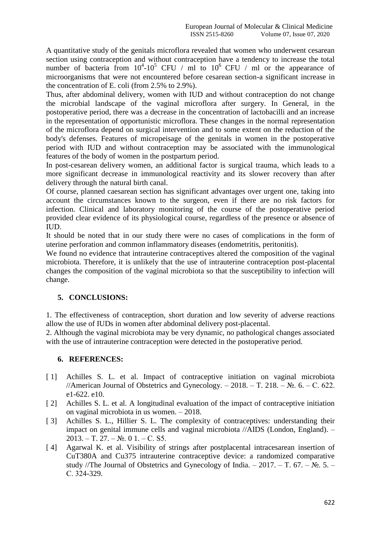A quantitative study of the genitals microflora revealed that women who underwent cesarean section using contraception and without contraception have a tendency to increase the total number of bacteria from  $10^4$ - $10^5$  CFU / ml to  $10^6$  CFU / ml or the appearance of microorganisms that were not encountered before cesarean section-a significant increase in the concentration of E. coli (from 2.5% to 2.9%).

Thus, after abdominal delivery, women with IUD and without contraception do not change the microbial landscape of the vaginal microflora after surgery. In General, in the postoperative period, there was a decrease in the concentration of lactobacilli and an increase in the representation of opportunistic microflora. These changes in the normal representation of the microflora depend on surgical intervention and to some extent on the reduction of the body's defenses. Features of micropeisage of the genitals in women in the postoperative period with IUD and without contraception may be associated with the immunological features of the body of women in the postpartum period.

In post-cesarean delivery women, an additional factor is surgical trauma, which leads to a more significant decrease in immunological reactivity and its slower recovery than after delivery through the natural birth canal.

Of course, planned caesarean section has significant advantages over urgent one, taking into account the circumstances known to the surgeon, even if there are no risk factors for infection. Clinical and laboratory monitoring of the course of the postoperative period provided clear evidence of its physiological course, regardless of the presence or absence of IUD.

It should be noted that in our study there were no cases of complications in the form of uterine perforation and common inflammatory diseases (endometritis, peritonitis).

We found no evidence that intrauterine contraceptives altered the composition of the vaginal microbiota. Therefore, it is unlikely that the use of intrauterine contraception post-placental changes the composition of the vaginal microbiota so that the susceptibility to infection will change.

# **5. CONCLUSIONS:**

1. The effectiveness of contraception, short duration and low severity of adverse reactions allow the use of IUDs in women after abdominal delivery post-placental.

2. Although the vaginal microbiota may be very dynamic, no pathological changes associated with the use of intrauterine contraception were detected in the postoperative period.

# **6. REFERENCES:**

- [ 1] Achilles S. L. et al. Impact of contraceptive initiation on vaginal microbiota //American Journal of Obstetrics and Gynecology. – 2018. – T. 218. –  $\mathbb{N}_2$ . 6. – C. 622. e1-622. e10.
- [ 2] Achilles S. L. et al. A longitudinal evaluation of the impact of contraceptive initiation on vaginal microbiota in us women. – 2018.
- [ 3] Achilles S. L., Hillier S. L. The complexity of contraceptives: understanding their impact on genital immune cells and vaginal microbiota //AIDS (London, England). –  $2013. - T. 27. - N_2. 01. - C. S5.$
- [ 4] Agarwal K. et al. Visibility of strings after postplacental intracesarean insertion of CuT380A and Cu375 intrauterine contraceptive device: a randomized comparative study //The Journal of Obstetrics and Gynecology of India. – 2017. – T. 67. –  $\mathbb{N}_2$ . 5. – С. 324-329.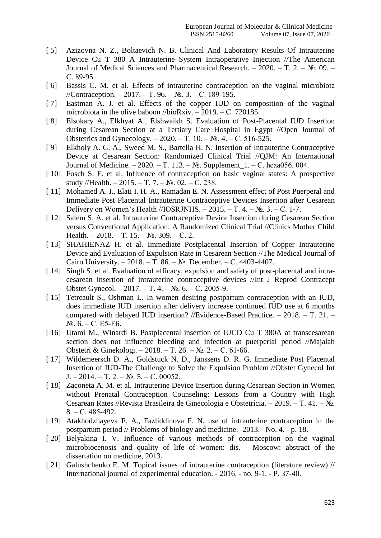- [ 5] Azizovna N. Z., Boltaevich N. B. Clinical And Laboratory Results Of Intrauterine Device Cu T 380 A Intrauterine System Intraoperative Injection //The American Journal of Medical Sciences and Pharmaceutical Research. – 2020. – Т. 2. – №. 09. – С. 89-95.
- [6] Bassis C. M. et al. Effects of intrauterine contraception on the vaginal microbiota //Contraception. – 2017. – Т. 96. – №. 3. – С. 189-195.
- [ 7] Eastman A. J. et al. Effects of the copper IUD on composition of the vaginal microbiota in the olive baboon //bioRxiv. – 2019. – С. 720185.
- [ 8] Elsokary A., Elkhyat A., Elshwaikh S. Evaluation of Post-Placental IUD Insertion during Cesarean Section at a Tertiary Care Hospital in Egypt //Open Journal of Obstetrics and Gynecology. – 2020. – Т. 10. –  $N_2$ . 4. – С. 516-525.
- [ 9] Elkholy A. G. A., Sweed M. S., Bartella H. N. Insertion of Intrauterine Contraceptive Device at Cesarean Section: Randomized Clinical Trial //QJM: An International Journal of Medicine. – 2020. – Т. 113. – №. Supplement\_1. – С. hcaa056. 004.
- [10] Fosch S. E. et al. Influence of contraception on basic vaginal states: A prospective study //Health. – 2015. – Т. 7. –  $N_2$ . 02. – С. 238.
- [ 11] Mohamed A. I., Elati I. H. A., Ramadan E. N. Assessment effect of Post Puerperal and Immediate Post Placental Intrauterine Contraceptive Devices Insertion after Cesarean Delivery on Women's Health //IOSRJNHS. – 2015. – T. 4. –  $N_2$ . 3. – C. 1-7.
- [12] Salem S. A. et al. Intrauterine Contraceptive Device Insertion during Cesarean Section versus Conventional Application: A Randomized Clinical Trial //Clinics Mother Child Health. – 2018. – Т. 15. –  $N_2$ . 309. – С. 2.
- [13] SHAHIENAZ H. et al. Immediate Postplacental Insertion of Copper Intrauterine Device and Evaluation of Expulsion Rate in Cesarean Section //The Medical Journal of Cairo University. – 2018. – Т. 86. – №. December. – С. 4403-4407.
- [ 14] Singh S. et al. Evaluation of efficacy, expulsion and safety of post-placental and intracesarean insertion of intrauterine contraceptive devices //Int J Reprod Contracept Obstet Gynecol. – 2017. – Т. 4. – №. 6. – С. 2005-9.
- [ 15] Tetreault S., Oshman L. In women desiring postpartum contraception with an IUD, does immediate IUD insertion after delivery increase continued IUD use at 6 months compared with delayed IUD insertion? //Evidence-Based Practice. – 2018. – Т. 21. – №. 6. – С. E5-E6.
- [ 16] Utami M., Winardi B. Postplacental insertion of IUCD Cu T 380A at transcesarean section does not influence bleeding and infection at puerperial period //Majalah Obstetri & Ginekologi. – 2018. – Т. 26. – №. 2. – С. 61-66.
- [ 17] Wildemeersch D. A., Goldstuck N. D., Janssens D. R. G. Immediate Post Placental Insertion of IUD-The Challenge to Solve the Expulsion Problem //Obstet Gynecol Int J. – 2014. – T. 2. –  $N_2$ . 5. – C. 00052.
- [ 18] Zaconeta A. M. et al. Intrauterine Device Insertion during Cesarean Section in Women without Prenatal Contraception Counseling: Lessons from a Country with High Cesarean Rates //Revista Brasileira de Ginecologia e Obstetrícia. – 2019. – Т. 41. – №. 8. – С. 485-492.
- [19] Atakhodzhayeva F. A., Fazliddinova F. N. use of intrauterine contraception in the postpartum period // Problems of biology and medicine. -2013. –No. 4. - p. 18.
- [20] Belyakina I. V. Influence of various methods of contraception on the vaginal microbiocenosis and quality of life of women: dis. - Moscow: abstract of the dissertation on medicine, 2013.
- [ 21] Galushchenko E. M. Topical issues of intrauterine contraception (literature review) // International journal of experimental education. - 2016. - no. 9-1. - P. 37-40.